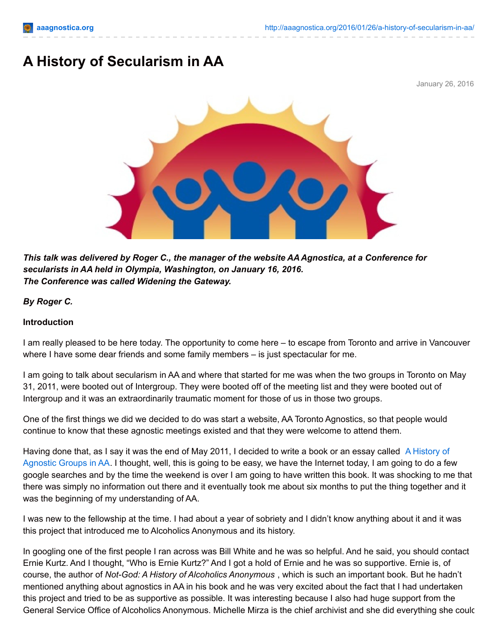# **A History of Secularism in AA**

January 26, 2016



*This talk was delivered by Roger C., the manager of the website AAAgnostica, at a Conference for secularists in AA held in Olympia, Washington, on January 16, 2016. The Conference was called Widening the Gateway.*

#### *By Roger C.*

#### **Introduction**

I am really pleased to be here today. The opportunity to come here – to escape from Toronto and arrive in Vancouver where I have some dear friends and some family members – is just spectacular for me.

I am going to talk about secularism in AA and where that started for me was when the two groups in Toronto on May 31, 2011, were booted out of Intergroup. They were booted off of the meeting list and they were booted out of Intergroup and it was an extraordinarily traumatic moment for those of us in those two groups.

One of the first things we did we decided to do was start a website, AA Toronto Agnostics, so that people would continue to know that these agnostic meetings existed and that they were welcome to attend them.

Having done that, as I say it was the end of May 2011, I decided to write a book or an essay called A History of [Agnostic](http://aaagnostica.org/a-history-of-agnostic-groups-in-aa/) Groups in AA. I thought, well, this is going to be easy, we have the Internet today, I am going to do a few google searches and by the time the weekend is over I am going to have written this book. It was shocking to me that there was simply no information out there and it eventually took me about six months to put the thing together and it was the beginning of my understanding of AA.

I was new to the fellowship at the time. I had about a year of sobriety and I didn't know anything about it and it was this project that introduced me to Alcoholics Anonymous and its history.

In googling one of the first people I ran across was Bill White and he was so helpful. And he said, you should contact Ernie Kurtz. And I thought, "Who is Ernie Kurtz?" And I got a hold of Ernie and he was so supportive. Ernie is, of course, the author of *Not-God: A History of Alcoholics Anonymous* , which is such an important book. But he hadn't mentioned anything about agnostics in AA in his book and he was very excited about the fact that I had undertaken this project and tried to be as supportive as possible. It was interesting because I also had huge support from the General Service Office of Alcoholics Anonymous. Michelle Mirza is the chief archivist and she did everything she could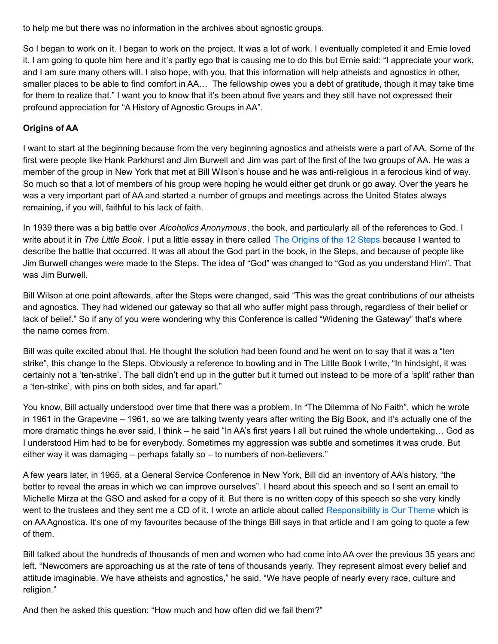to help me but there was no information in the archives about agnostic groups.

So I began to work on it. I began to work on the project. It was a lot of work. I eventually completed it and Ernie loved it. I am going to quote him here and it's partly ego that is causing me to do this but Ernie said: "I appreciate your work, and I am sure many others will. I also hope, with you, that this information will help atheists and agnostics in other, smaller places to be able to find comfort in AA… The fellowship owes you a debt of gratitude, though it may take time for them to realize that." I want you to know that it's been about five years and they still have not expressed their profound appreciation for "A History of Agnostic Groups in AA".

## **Origins of AA**

I want to start at the beginning because from the very beginning agnostics and atheists were a part of AA. Some of the first were people like Hank Parkhurst and Jim Burwell and Jim was part of the first of the two groups of AA. He was a member of the group in New York that met at Bill Wilson's house and he was anti-religious in a ferocious kind of way. So much so that a lot of members of his group were hoping he would either get drunk or go away. Over the years he was a very important part of AA and started a number of groups and meetings across the United States always remaining, if you will, faithful to his lack of faith.

In 1939 there was a big battle over *Alcoholics Anonymous*, the book, and particularly all of the references to God. I write about it in *The Little Book*. I put a little essay in there called The [Origins](http://aaagnostica.org/2012/09/16/the-origins-of-the-12-steps/) of the 12 Steps because I wanted to describe the battle that occurred. It was all about the God part in the book, in the Steps, and because of people like Jim Burwell changes were made to the Steps. The idea of "God" was changed to "God as you understand Him". That was Jim Burwell.

Bill Wilson at one point aftewards, after the Steps were changed, said "This was the great contributions of our atheists and agnostics. They had widened our gateway so that all who suffer might pass through, regardless of their belief or lack of belief." So if any of you were wondering why this Conference is called "Widening the Gateway" that's where the name comes from.

Bill was quite excited about that. He thought the solution had been found and he went on to say that it was a "ten strike", this change to the Steps. Obviously a reference to bowling and in The Little Book I write, "In hindsight, it was certainly not a 'ten-strike'. The ball didn't end up in the gutter but it turned out instead to be more of a 'split' rather than a 'ten-strike', with pins on both sides, and far apart."

You know, Bill actually understood over time that there was a problem. In "The Dilemma of No Faith", which he wrote in 1961 in the Grapevine – 1961, so we are talking twenty years after writing the Big Book, and it's actually one of the more dramatic things he ever said, I think – he said "In AA's first years I all but ruined the whole undertaking… God as I understood Him had to be for everybody. Sometimes my aggression was subtle and sometimes it was crude. But either way it was damaging – perhaps fatally so – to numbers of non-believers."

A few years later, in 1965, at a General Service Conference in New York, Bill did an inventory of AA's history, "the better to reveal the areas in which we can improve ourselves". I heard about this speech and so I sent an email to Michelle Mirza at the GSO and asked for a copy of it. But there is no written copy of this speech so she very kindly went to the trustees and they sent me a CD of it. I wrote an article about called [Responsibility](http://aaagnostica.org/2012/10/07/responsibility-is-our-theme/) is Our Theme which is on AAAgnostica. It's one of my favourites because of the things Bill says in that article and I am going to quote a few of them.

Bill talked about the hundreds of thousands of men and women who had come into AA over the previous 35 years and left. "Newcomers are approaching us at the rate of tens of thousands yearly. They represent almost every belief and attitude imaginable. We have atheists and agnostics," he said. "We have people of nearly every race, culture and religion."

And then he asked this question: "How much and how often did we fail them?"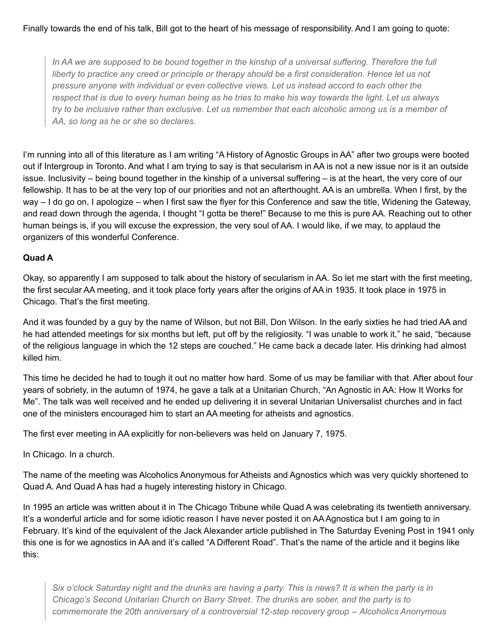In AA we are supposed to be bound together in the kinship of a universal suffering. Therefore the full liberty to practice any creed or principle or therapy should be a first consideration. Hence let us not *pressure anyone with individual or even collective views. Let us instead accord to each other the* respect that is due to every human being as he tries to make his way towards the light. Let us always try to be inclusive rather than exclusive. Let us remember that each alcoholic among us is a member of *AA, so long as he or she so declares.*

I'm running into all of this literature as I am writing "A History of Agnostic Groups in AA" after two groups were booted out if Intergroup in Toronto. And what I am trying to say is that secularism in AA is not a new issue nor is it an outside issue. Inclusivity – being bound together in the kinship of a universal suffering – is at the heart, the very core of our fellowship. It has to be at the very top of our priorities and not an afterthought. AA is an umbrella. When I first, by the way – I do go on, I apologize – when I first saw the flyer for this Conference and saw the title, Widening the Gateway, and read down through the agenda, I thought "I gotta be there!" Because to me this is pure AA. Reaching out to other human beings is, if you will excuse the expression, the very soul of AA. I would like, if we may, to applaud the organizers of this wonderful Conference.

#### **Quad A**

Okay, so apparently I am supposed to talk about the history of secularism in AA. So let me start with the first meeting, the first secular AA meeting, and it took place forty years after the origins of AA in 1935. It took place in 1975 in Chicago. That's the first meeting.

And it was founded by a guy by the name of Wilson, but not Bill, Don Wilson. In the early sixties he had tried AA and he had attended meetings for six months but left, put off by the religiosity. "I was unable to work it," he said, "because of the religious language in which the 12 steps are couched." He came back a decade later. His drinking had almost killed him.

This time he decided he had to tough it out no matter how hard. Some of us may be familiar with that. After about four years of sobriety, in the autumn of 1974, he gave a talk at a Unitarian Church, "An Agnostic in AA: How It Works for Me". The talk was well received and he ended up delivering it in several Unitarian Universalist churches and in fact one of the ministers encouraged him to start an AA meeting for atheists and agnostics.

The first ever meeting in AA explicitly for non-believers was held on January 7, 1975.

In Chicago. In a church.

The name of the meeting was Alcoholics Anonymous for Atheists and Agnostics which was very quickly shortened to Quad A. And Quad A has had a hugely interesting history in Chicago.

In 1995 an article was written about it in The Chicago Tribune while Quad A was celebrating its twentieth anniversary. It's a wonderful article and for some idiotic reason I have never posted it on AAAgnostica but I am going to in February. It's kind of the equivalent of the Jack Alexander article published in The Saturday Evening Post in 1941 only this one is for we agnostics in AA and it's called "A Different Road". That's the name of the article and it begins like this:

Six o'clock Saturday night and the drunks are having a party. This is news? It is when the party is in *Chicago's Second Unitarian Church on Barry Street. The drunks are sober, and the party is to commemorate the 20th anniversary of a controversial 12-step recovery group – Alcoholics Anonymous*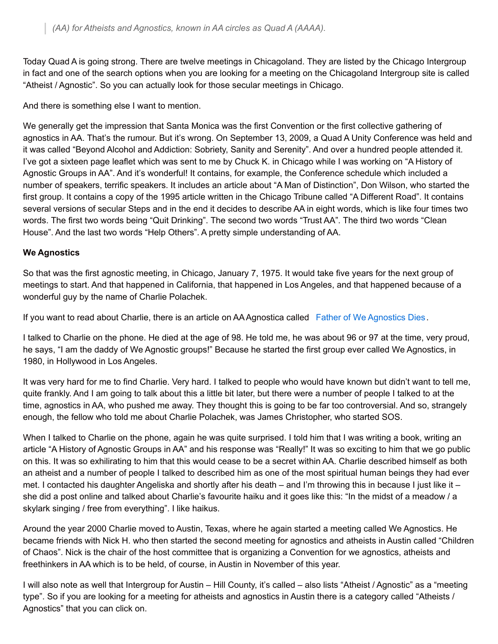Today Quad A is going strong. There are twelve meetings in Chicagoland. They are listed by the Chicago Intergroup in fact and one of the search options when you are looking for a meeting on the Chicagoland Intergroup site is called "Atheist / Agnostic". So you can actually look for those secular meetings in Chicago.

And there is something else I want to mention.

We generally get the impression that Santa Monica was the first Convention or the first collective gathering of agnostics in AA. That's the rumour. But it's wrong. On September 13, 2009, a Quad A Unity Conference was held and it was called "Beyond Alcohol and Addiction: Sobriety, Sanity and Serenity". And over a hundred people attended it. I've got a sixteen page leaflet which was sent to me by Chuck K. in Chicago while I was working on "A History of Agnostic Groups in AA". And it's wonderful! It contains, for example, the Conference schedule which included a number of speakers, terrific speakers. It includes an article about "A Man of Distinction", Don Wilson, who started the first group. It contains a copy of the 1995 article written in the Chicago Tribune called "A Different Road". It contains several versions of secular Steps and in the end it decides to describe AA in eight words, which is like four times two words. The first two words being "Quit Drinking". The second two words "Trust AA". The third two words "Clean House". And the last two words "Help Others". A pretty simple understanding of AA.

#### **We Agnostics**

So that was the first agnostic meeting, in Chicago, January 7, 1975. It would take five years for the next group of meetings to start. And that happened in California, that happened in Los Angeles, and that happened because of a wonderful guy by the name of Charlie Polachek.

If you want to read about Charlie, there is an article on AA Agnostica called Father of We [Agnostics](http://aaagnostica.org/2012/03/09/father-of-we-agnostics-dies/) Dies.

I talked to Charlie on the phone. He died at the age of 98. He told me, he was about 96 or 97 at the time, very proud, he says, "I am the daddy of We Agnostic groups!" Because he started the first group ever called We Agnostics, in 1980, in Hollywood in Los Angeles.

It was very hard for me to find Charlie. Very hard. I talked to people who would have known but didn't want to tell me, quite frankly. And I am going to talk about this a little bit later, but there were a number of people I talked to at the time, agnostics in AA, who pushed me away. They thought this is going to be far too controversial. And so, strangely enough, the fellow who told me about Charlie Polachek, was James Christopher, who started SOS.

When I talked to Charlie on the phone, again he was quite surprised. I told him that I was writing a book, writing an article "A History of Agnostic Groups in AA" and his response was "Really!" It was so exciting to him that we go public on this. It was so exhilirating to him that this would cease to be a secret within AA. Charlie described himself as both an atheist and a number of people I talked to described him as one of the most spiritual human beings they had ever met. I contacted his daughter Angeliska and shortly after his death – and I'm throwing this in because I just like it – she did a post online and talked about Charlie's favourite haiku and it goes like this: "In the midst of a meadow / a skylark singing / free from everything". I like haikus.

Around the year 2000 Charlie moved to Austin, Texas, where he again started a meeting called We Agnostics. He became friends with Nick H. who then started the second meeting for agnostics and atheists in Austin called "Children of Chaos". Nick is the chair of the host committee that is organizing a Convention for we agnostics, atheists and freethinkers in AA which is to be held, of course, in Austin in November of this year.

I will also note as well that Intergroup for Austin – Hill County, it's called – also lists "Atheist / Agnostic" as a "meeting type". So if you are looking for a meeting for atheists and agnostics in Austin there is a category called "Atheists / Agnostics" that you can click on.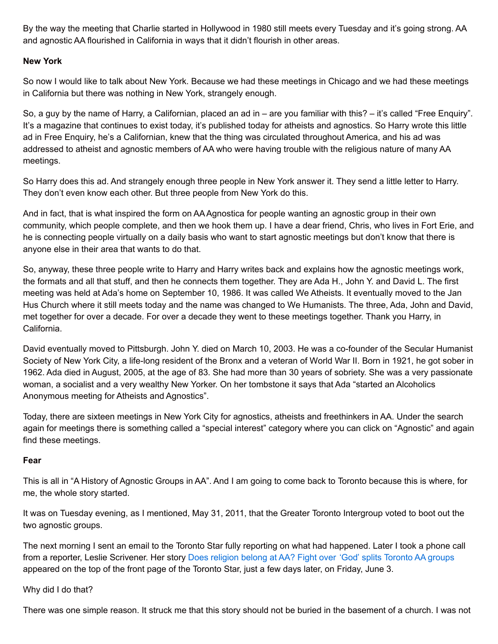By the way the meeting that Charlie started in Hollywood in 1980 still meets every Tuesday and it's going strong. AA and agnostic AA flourished in California in ways that it didn't flourish in other areas.

### **New York**

So now I would like to talk about New York. Because we had these meetings in Chicago and we had these meetings in California but there was nothing in New York, strangely enough.

So, a guy by the name of Harry, a Californian, placed an ad in – are you familiar with this? – it's called "Free Enquiry". It's a magazine that continues to exist today, it's published today for atheists and agnostics. So Harry wrote this little ad in Free Enquiry, he's a Californian, knew that the thing was circulated throughout America, and his ad was addressed to atheist and agnostic members of AA who were having trouble with the religious nature of many AA meetings.

So Harry does this ad. And strangely enough three people in New York answer it. They send a little letter to Harry. They don't even know each other. But three people from New York do this.

And in fact, that is what inspired the form on AAAgnostica for people wanting an agnostic group in their own community, which people complete, and then we hook them up. I have a dear friend, Chris, who lives in Fort Erie, and he is connecting people virtually on a daily basis who want to start agnostic meetings but don't know that there is anyone else in their area that wants to do that.

So, anyway, these three people write to Harry and Harry writes back and explains how the agnostic meetings work, the formats and all that stuff, and then he connects them together. They are Ada H., John Y. and David L. The first meeting was held at Ada's home on September 10, 1986. It was called We Atheists. It eventually moved to the Jan Hus Church where it still meets today and the name was changed to We Humanists. The three, Ada, John and David, met together for over a decade. For over a decade they went to these meetings together. Thank you Harry, in California.

David eventually moved to Pittsburgh. John Y. died on March 10, 2003. He was a co-founder of the Secular Humanist Society of New York City, a life-long resident of the Bronx and a veteran of World War II. Born in 1921, he got sober in 1962. Ada died in August, 2005, at the age of 83. She had more than 30 years of sobriety. She was a very passionate woman, a socialist and a very wealthy New Yorker. On her tombstone it says that Ada "started an Alcoholics Anonymous meeting for Atheists and Agnostics".

Today, there are sixteen meetings in New York City for agnostics, atheists and freethinkers in AA. Under the search again for meetings there is something called a "special interest" category where you can click on "Agnostic" and again find these meetings.

#### **Fear**

This is all in "A History of Agnostic Groups in AA". And I am going to come back to Toronto because this is where, for me, the whole story started.

It was on Tuesday evening, as I mentioned, May 31, 2011, that the Greater Toronto Intergroup voted to boot out the two agnostic groups.

The next morning I sent an email to the Toronto Star fully reporting on what had happened. Later I took a phone call from a reporter, Leslie Scrivener. Her story Does religion belong at AA? Fight over 'God' splits [Toronto](http://www.thestar.com/news/gta/2011/06/03/does_religion_belong_at_aa_fight_over_god_splits_toronto_aa_groups.html) AA groups appeared on the top of the front page of the Toronto Star, just a few days later, on Friday, June 3.

#### Why did I do that?

There was one simple reason. It struck me that this story should not be buried in the basement of a church. I was not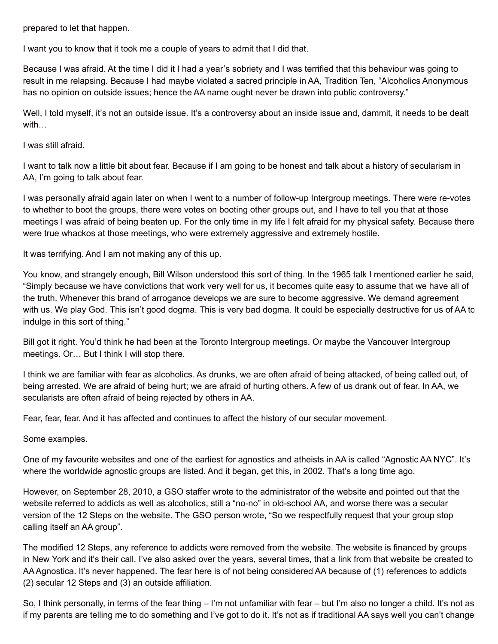prepared to let that happen.

I want you to know that it took me a couple of years to admit that I did that.

Because I was afraid. At the time I did it I had a year's sobriety and I was terrified that this behaviour was going to result in me relapsing. Because I had maybe violated a sacred principle in AA, Tradition Ten, "Alcoholics Anonymous has no opinion on outside issues; hence the AA name ought never be drawn into public controversy."

Well, I told myself, it's not an outside issue. It's a controversy about an inside issue and, dammit, it needs to be dealt with…

I was still afraid.

I want to talk now a little bit about fear. Because if I am going to be honest and talk about a history of secularism in AA, I'm going to talk about fear.

I was personally afraid again later on when I went to a number of follow-up Intergroup meetings. There were re-votes to whether to boot the groups, there were votes on booting other groups out, and I have to tell you that at those meetings I was afraid of being beaten up. For the only time in my life I felt afraid for my physical safety. Because there were true whackos at those meetings, who were extremely aggressive and extremely hostile.

It was terrifying. And I am not making any of this up.

You know, and strangely enough, Bill Wilson understood this sort of thing. In the 1965 talk I mentioned earlier he said, "Simply because we have convictions that work very well for us, it becomes quite easy to assume that we have all of the truth. Whenever this brand of arrogance develops we are sure to become aggressive. We demand agreement with us. We play God. This isn't good dogma. This is very bad dogma. It could be especially destructive for us of AA to indulge in this sort of thing."

Bill got it right. You'd think he had been at the Toronto Intergroup meetings. Or maybe the Vancouver Intergroup meetings. Or… But I think I will stop there.

I think we are familiar with fear as alcoholics. As drunks, we are often afraid of being attacked, of being called out, of being arrested. We are afraid of being hurt; we are afraid of hurting others. A few of us drank out of fear. In AA, we secularists are often afraid of being rejected by others in AA.

Fear, fear, fear. And it has affected and continues to affect the history of our secular movement.

Some examples.

One of my favourite websites and one of the earliest for agnostics and atheists in AA is called "Agnostic AA NYC". It's where the worldwide agnostic groups are listed. And it began, get this, in 2002. That's a long time ago.

However, on September 28, 2010, a GSO staffer wrote to the administrator of the website and pointed out that the website referred to addicts as well as alcoholics, still a "no-no" in old-school AA, and worse there was a secular version of the 12 Steps on the website. The GSO person wrote, "So we respectfully request that your group stop calling itself an AA group".

The modified 12 Steps, any reference to addicts were removed from the website. The website is financed by groups in New York and it's their call. I've also asked over the years, several times, that a link from that website be created to AAAgnostica. It's never happened. The fear here is of not being considered AA because of (1) references to addicts (2) secular 12 Steps and (3) an outside affiliation.

So, I think personally, in terms of the fear thing – I'm not unfamiliar with fear – but I'm also no longer a child. It's not as if my parents are telling me to do something and I've got to do it. It's not as if traditional AA says well you can't change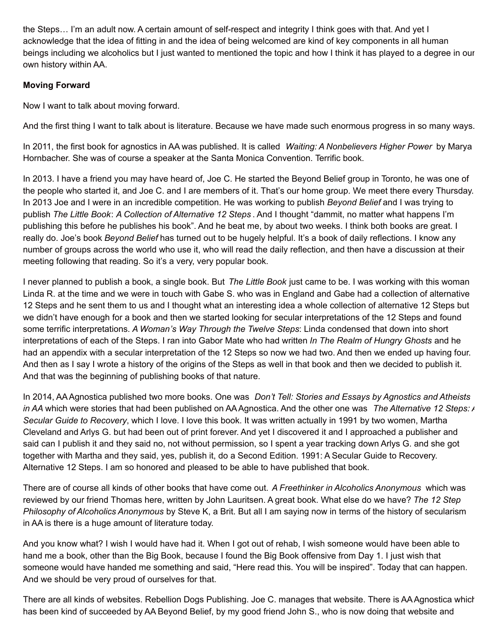the Steps… I'm an adult now. A certain amount of self-respect and integrity I think goes with that. And yet I acknowledge that the idea of fitting in and the idea of being welcomed are kind of key components in all human beings including we alcoholics but I just wanted to mentioned the topic and how I think it has played to a degree in our own history within AA.

# **Moving Forward**

Now I want to talk about moving forward.

And the first thing I want to talk about is literature. Because we have made such enormous progress in so many ways.

In 2011, the first book for agnostics in AA was published. It is called *Waiting: A Nonbelievers Higher Power* by Marya Hornbacher. She was of course a speaker at the Santa Monica Convention. Terrific book.

In 2013. I have a friend you may have heard of, Joe C. He started the Beyond Belief group in Toronto, he was one of the people who started it, and Joe C. and I are members of it. That's our home group. We meet there every Thursday. In 2013 Joe and I were in an incredible competition. He was working to publish *Beyond Belief* and I was trying to publish *The Little Book*: *A Collection of Alternative 12 Steps* . And I thought "dammit, no matter what happens I'm publishing this before he publishes his book". And he beat me, by about two weeks. I think both books are great. I really do. Joe's book *Beyond Belief* has turned out to be hugely helpful. It's a book of daily reflections. I know any number of groups across the world who use it, who will read the daily reflection, and then have a discussion at their meeting following that reading. So it's a very, very popular book.

I never planned to publish a book, a single book. But *The Little Book* just came to be. I was working with this woman Linda R. at the time and we were in touch with Gabe S. who was in England and Gabe had a collection of alternative 12 Steps and he sent them to us and I thought what an interesting idea a whole collection of alternative 12 Steps but we didn't have enough for a book and then we started looking for secular interpretations of the 12 Steps and found some terrific interpretations. *A Woman's Way Through the Twelve Steps*: Linda condensed that down into short interpretations of each of the Steps. I ran into Gabor Mate who had written *In The Realm of Hungry Ghosts* and he had an appendix with a secular interpretation of the 12 Steps so now we had two. And then we ended up having four. And then as I say I wrote a history of the origins of the Steps as well in that book and then we decided to publish it. And that was the beginning of publishing books of that nature.

In 2014, AAAgnostica published two more books. One was *Don't Tell: Stories and Essays by Agnostics and Atheists in AA* which were stories that had been published on AAAgnostica. And the other one was *The Alternative 12 Steps: A Secular Guide to Recovery*, which I love. I love this book. It was written actually in 1991 by two women, Martha Cleveland and Arlys G. but had been out of print forever. And yet I discovered it and I approached a publisher and said can I publish it and they said no, not without permission, so I spent a year tracking down Arlys G. and she got together with Martha and they said, yes, publish it, do a Second Edition. 1991: A Secular Guide to Recovery. Alternative 12 Steps. I am so honored and pleased to be able to have published that book.

There are of course all kinds of other books that have come out. *A Freethinker in Alcoholics Anonymous* which was reviewed by our friend Thomas here, written by John Lauritsen. A great book. What else do we have? *The 12 Step Philosophy of Alcoholics Anonymous* by Steve K, a Brit. But all I am saying now in terms of the history of secularism in AA is there is a huge amount of literature today.

And you know what? I wish I would have had it. When I got out of rehab, I wish someone would have been able to hand me a book, other than the Big Book, because I found the Big Book offensive from Day 1. I just wish that someone would have handed me something and said, "Here read this. You will be inspired". Today that can happen. And we should be very proud of ourselves for that.

There are all kinds of websites. Rebellion Dogs Publishing. Joe C. manages that website. There is AA Agnostica which has been kind of succeeded by AA Beyond Belief, by my good friend John S., who is now doing that website and